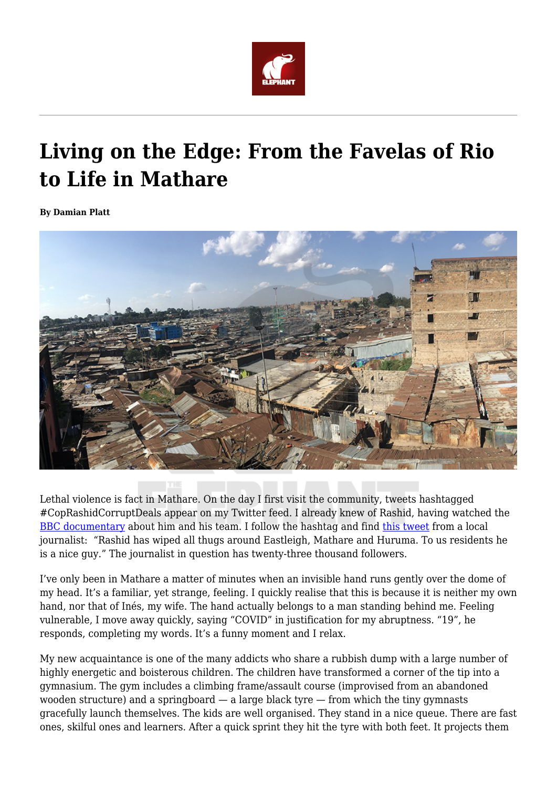

## **Living on the Edge: From the Favelas of Rio to Life in Mathare**

**By Damian Platt**



Lethal violence is fact in Mathare. On the day I first visit the community, tweets hashtagged #CopRashidCorruptDeals appear on my Twitter feed. I already knew of Rashid, having watched the [BBC documentary](https://www.youtube.com/watch?v=pOjYnSAAcnQ) about him and his team. I follow the hashtag and find [this tweet](https://twitter.com/AmedoShair/status/1293419946811297793?s=20) from a local journalist: "Rashid has wiped all thugs around Eastleigh, Mathare and Huruma. To us residents he is a nice guy." The journalist in question has twenty-three thousand followers.

I've only been in Mathare a matter of minutes when an invisible hand runs gently over the dome of my head. It's a familiar, yet strange, feeling. I quickly realise that this is because it is neither my own hand, nor that of Inés, my wife. The hand actually belongs to a man standing behind me. Feeling vulnerable, I move away quickly, saying "COVID" in justification for my abruptness. "19", he responds, completing my words. It's a funny moment and I relax.

My new acquaintance is one of the many addicts who share a rubbish dump with a large number of highly energetic and boisterous children. The children have transformed a corner of the tip into a gymnasium. The gym includes a climbing frame/assault course (improvised from an abandoned wooden structure) and a springboard  $-$  a large black tyre  $-$  from which the tiny gymnasts gracefully launch themselves. The kids are well organised. They stand in a nice queue. There are fast ones, skilful ones and learners. After a quick sprint they hit the tyre with both feet. It projects them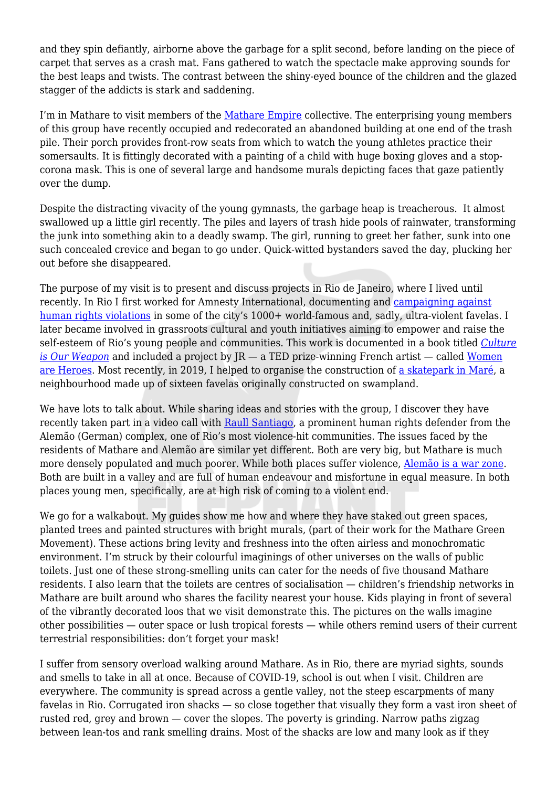and they spin defiantly, airborne above the garbage for a split second, before landing on the piece of carpet that serves as a crash mat. Fans gathered to watch the spectacle make approving sounds for the best leaps and twists. The contrast between the shiny-eyed bounce of the children and the glazed stagger of the addicts is stark and saddening.

I'm in Mathare to visit members of the [Mathare Empire](https://www.youtube.com/watch?v=aUh9dca5C4E) collective. The enterprising young members of this group have recently occupied and redecorated an abandoned building at one end of the trash pile. Their porch provides front-row seats from which to watch the young athletes practice their somersaults. It is fittingly decorated with a painting of a child with huge boxing gloves and a stopcorona mask. This is one of several large and handsome murals depicting faces that gaze patiently over the dump.

Despite the distracting vivacity of the young gymnasts, the garbage heap is treacherous. It almost swallowed up a little girl recently. The piles and layers of trash hide pools of rainwater, transforming the junk into something akin to a deadly swamp. The girl, running to greet her father, sunk into one such concealed crevice and began to go under. Quick-witted bystanders saved the day, plucking her out before she disappeared.

The purpose of my visit is to present and discuss projects in Rio de Janeiro, where I lived until recently. In Rio I first worked for Amnesty International, documenting and [campaigning against](http://news.bbc.co.uk/2/hi/americas/3190101.stm) [human rights violations](http://news.bbc.co.uk/2/hi/americas/3190101.stm) in some of the city's 1000+ world-famous and, sadly, ultra-violent favelas. I later became involved in grassroots cultural and youth initiatives aiming to empower and raise the self-esteem of Rio's young people and communities. This work is documented in a book titled *[Culture](https://www.penguinrandomhouse.com/books/306310/culture-is-our-weapon-by-patrick-neate-and-damian-platt-foreword-by-caetano-veloso/) [is Our Weapon](https://www.penguinrandomhouse.com/books/306310/culture-is-our-weapon-by-patrick-neate-and-damian-platt-foreword-by-caetano-veloso/)* and included a project by JR — a TED prize-winning French artist — called [Women](https://www.jr-art.net/projects/rio-de-janeiro) [are Heroes](https://www.jr-art.net/projects/rio-de-janeiro). Most recently, in 2019, I helped to organise the construction of [a skatepark in Maré,](https://vimeo.com/471357811) a neighbourhood made up of sixteen favelas originally constructed on swampland.

We have lots to talk about. While sharing ideas and stories with the group, I discover they have recently taken part in a video call with [Raull Santiago,](https://www.frontlinedefenders.org/en/profile/raull-santiago) a prominent human rights defender from the Alemão (German) complex, one of Rio's most violence-hit communities. The issues faced by the residents of Mathare and Alemão are similar yet different. Both are very big, but Mathare is much more densely populated and much poorer. While both places suffer violence, [Alemão is a war zone](https://www.youtube.com/watch?time_continue=4&v=-fKHOSsoujU&feature=emb_title). Both are built in a valley and are full of human endeavour and misfortune in equal measure. In both places young men, specifically, are at high risk of coming to a violent end.

We go for a walkabout. My guides show me how and where they have staked out green spaces, planted trees and painted structures with bright murals, (part of their work for the Mathare Green Movement). These actions bring levity and freshness into the often airless and monochromatic environment. I'm struck by their colourful imaginings of other universes on the walls of public toilets. Just one of these strong-smelling units can cater for the needs of five thousand Mathare residents. I also learn that the toilets are centres of socialisation — children's friendship networks in Mathare are built around who shares the facility nearest your house. Kids playing in front of several of the vibrantly decorated loos that we visit demonstrate this. The pictures on the walls imagine other possibilities — outer space or lush tropical forests — while others remind users of their current terrestrial responsibilities: don't forget your mask!

I suffer from sensory overload walking around Mathare. As in Rio, there are myriad sights, sounds and smells to take in all at once. Because of COVID-19, school is out when I visit. Children are everywhere. The community is spread across a gentle valley, not the steep escarpments of many favelas in Rio. Corrugated iron shacks — so close together that visually they form a vast iron sheet of rusted red, grey and brown — cover the slopes. The poverty is grinding. Narrow paths zigzag between lean-tos and rank smelling drains. Most of the shacks are low and many look as if they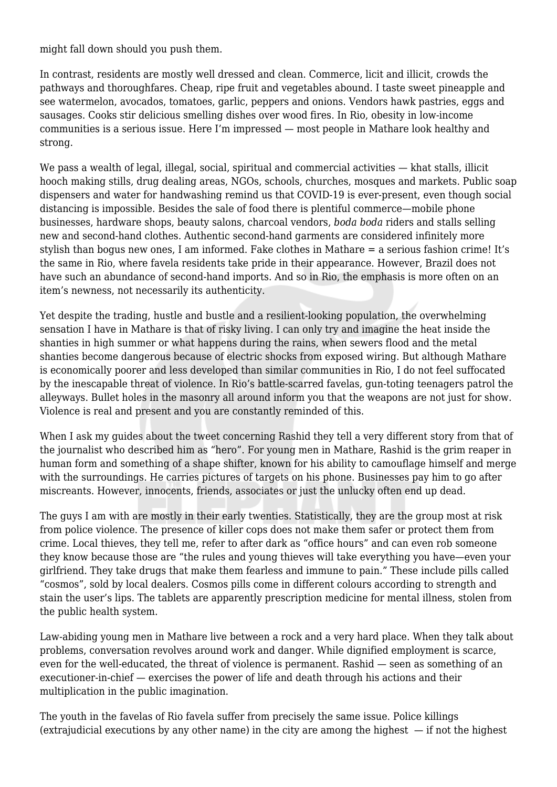might fall down should you push them.

In contrast, residents are mostly well dressed and clean. Commerce, licit and illicit, crowds the pathways and thoroughfares. Cheap, ripe fruit and vegetables abound. I taste sweet pineapple and see watermelon, avocados, tomatoes, garlic, peppers and onions. Vendors hawk pastries, eggs and sausages. Cooks stir delicious smelling dishes over wood fires. In Rio, obesity in low-income communities is a serious issue. Here I'm impressed — most people in Mathare look healthy and strong.

We pass a wealth of legal, illegal, social, spiritual and commercial activities — khat stalls, illicit hooch making stills, drug dealing areas, NGOs, schools, churches, mosques and markets. Public soap dispensers and water for handwashing remind us that COVID-19 is ever-present, even though social distancing is impossible. Besides the sale of food there is plentiful commerce—mobile phone businesses, hardware shops, beauty salons, charcoal vendors, *boda boda* riders and stalls selling new and second-hand clothes. Authentic second-hand garments are considered infinitely more stylish than bogus new ones, I am informed. Fake clothes in Mathare = a serious fashion crime! It's the same in Rio, where favela residents take pride in their appearance. However, Brazil does not have such an abundance of second-hand imports. And so in Rio, the emphasis is more often on an item's newness, not necessarily its authenticity.

Yet despite the trading, hustle and bustle and a resilient-looking population, the overwhelming sensation I have in Mathare is that of risky living. I can only try and imagine the heat inside the shanties in high summer or what happens during the rains, when sewers flood and the metal shanties become dangerous because of electric shocks from exposed wiring. But although Mathare is economically poorer and less developed than similar communities in Rio, I do not feel suffocated by the inescapable threat of violence. In Rio's battle-scarred favelas, gun-toting teenagers patrol the alleyways. Bullet holes in the masonry all around inform you that the weapons are not just for show. Violence is real and present and you are constantly reminded of this.

When I ask my quides about the tweet concerning Rashid they tell a very different story from that of the journalist who described him as "hero". For young men in Mathare, Rashid is the grim reaper in human form and something of a shape shifter, known for his ability to camouflage himself and merge with the surroundings. He carries pictures of targets on his phone. Businesses pay him to go after miscreants. However, innocents, friends, associates or just the unlucky often end up dead.

The guys I am with are mostly in their early twenties. Statistically, they are the group most at risk from police violence. The presence of killer cops does not make them safer or protect them from crime. Local thieves, they tell me, refer to after dark as "office hours" and can even rob someone they know because those are "the rules and young thieves will take everything you have—even your girlfriend. They take drugs that make them fearless and immune to pain." These include pills called "cosmos", sold by local dealers. Cosmos pills come in different colours according to strength and stain the user's lips. The tablets are apparently prescription medicine for mental illness, stolen from the public health system.

Law-abiding young men in Mathare live between a rock and a very hard place. When they talk about problems, conversation revolves around work and danger. While dignified employment is scarce, even for the well-educated, the threat of violence is permanent. Rashid — seen as something of an executioner-in-chief — exercises the power of life and death through his actions and their multiplication in the public imagination.

The youth in the favelas of Rio favela suffer from precisely the same issue. Police killings (extrajudicial executions by any other name) in the city are among the highest  $-$  if not the highest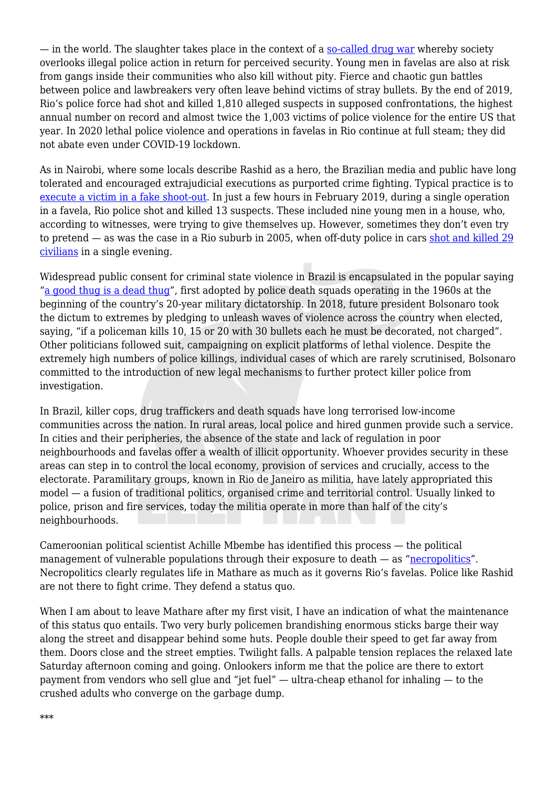— in the world. The slaughter takes place in the context of a [so-called drug war](https://quillette.com/2020/09/10/four-decades-of-terror-rio-de-janeiros-never-ending-drug-war/) whereby society overlooks illegal police action in return for perceived security. Young men in favelas are also at risk from gangs inside their communities who also kill without pity. Fierce and chaotic gun battles between police and lawbreakers very often leave behind victims of stray bullets. By the end of 2019, Rio's police force had shot and killed 1,810 alleged suspects in supposed confrontations, the highest annual number on record and almost twice the 1,003 victims of police violence for the entire US that year. In 2020 lethal police violence and operations in favelas in Rio continue at full steam; they did not abate even under COVID-19 lockdown.

As in Nairobi, where some locals describe Rashid as a hero, the Brazilian media and public have long tolerated and encouraged extrajudicial executions as purported crime fighting. Typical practice is to [execute a victim in a fake shoot-out.](https://www.youtube.com/watch?v=YY38BRD_UQs&feature=emb_title) In just a few hours in February 2019, during a single operation in a favela, Rio police shot and killed 13 suspects. These included nine young men in a house, who, according to witnesses, were trying to give themselves up. However, sometimes they don't even try to pretend — as was the case in a Rio suburb in 2005, when off-duty police in cars [shot and killed 29](https://www.rioonwatch.org/?p=52398) [civilians](https://www.rioonwatch.org/?p=52398) in a single evening.

Widespread public consent for criminal state violence in Brazil is encapsulated in the popular saying "[a good thug is a dead thug"](https://www.jacobinmag.com/2018/11/brazil-bolsonaro-security-guns-sivuca-militias), first adopted by police death squads operating in the 1960s at the beginning of the country's 20-year military dictatorship. In 2018, future president Bolsonaro took the dictum to extremes by pledging to unleash waves of violence across the country when elected, saying, "if a policeman kills 10, 15 or 20 with 30 bullets each he must be decorated, not charged". Other politicians followed suit, campaigning on explicit platforms of lethal violence. Despite the extremely high numbers of police killings, individual cases of which are rarely scrutinised, Bolsonaro committed to the introduction of new legal mechanisms to further protect killer police from investigation.

In Brazil, killer cops, drug traffickers and death squads have long terrorised low-income communities across the nation. In rural areas, local police and hired gunmen provide such a service. In cities and their peripheries, the absence of the state and lack of regulation in poor neighbourhoods and favelas offer a wealth of illicit opportunity. Whoever provides security in these areas can step in to control the local economy, provision of services and crucially, access to the electorate. Paramilitary groups, known in Rio de Janeiro as militia, have lately appropriated this model — a fusion of traditional politics, organised crime and territorial control. Usually linked to police, prison and fire services, today the militia operate in more than half of the city's neighbourhoods.

Cameroonian political scientist Achille Mbembe has identified this process — the political management of vulnerable populations through their exposure to death — as ["necropolitics](https://www.dukeupress.edu/necropolitics)". Necropolitics clearly regulates life in Mathare as much as it governs Rio's favelas. Police like Rashid are not there to fight crime. They defend a status quo.

When I am about to leave Mathare after my first visit, I have an indication of what the maintenance of this status quo entails. Two very burly policemen brandishing enormous sticks barge their way along the street and disappear behind some huts. People double their speed to get far away from them. Doors close and the street empties. Twilight falls. A palpable tension replaces the relaxed late Saturday afternoon coming and going. Onlookers inform me that the police are there to extort payment from vendors who sell glue and "jet fuel" — ultra-cheap ethanol for inhaling — to the crushed adults who converge on the garbage dump.